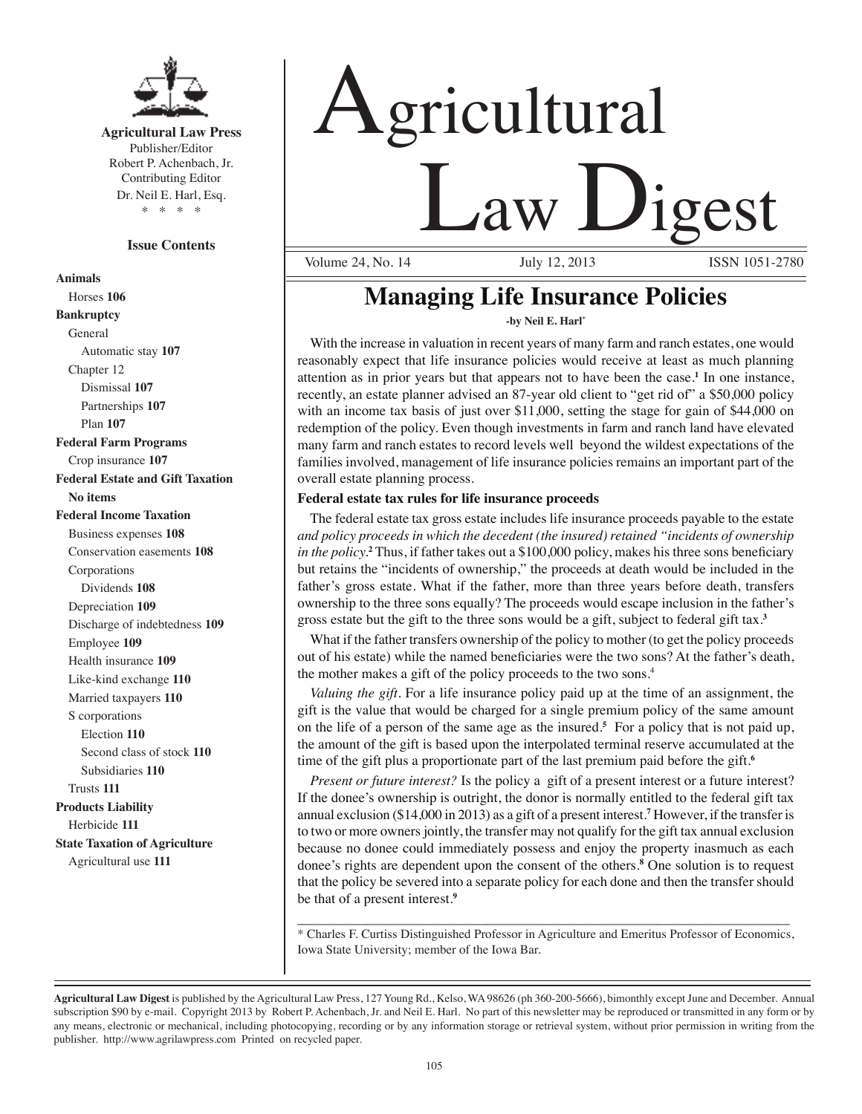

**Agricultural Law Press** Publisher/Editor Robert P. Achenbach, Jr. Contributing Editor Dr. Neil E. Harl, Esq. \* \* \* \*

#### **Issue Contents**

**Animals** Horses **106 Bankruptcy** General Automatic stay **107** Chapter 12 Dismissal **107** Partnerships **107** Plan **107 Federal Farm Programs** Crop insurance **107 Federal Estate and Gift Taxation No items Federal Income Taxation** Business expenses **108** Conservation easements **108** Corporations Dividends **108** Depreciation **109** Discharge of indebtedness **109** Employee **109** Health insurance **109** Like-kind exchange **110** Married taxpayers **110** S corporations Election **110** Second class of stock **110** Subsidiaries **110** Trusts **111 Products Liability** Herbicide **111 State Taxation of Agriculture** Agricultural use **111**

# gricultural  $\frac{1}{\sqrt{2}}$  aw Digest

Volume 24, No. 14

# **Managing Life Insurance Policies**

**-by Neil E. Harl\*** 

With the increase in valuation in recent years of many farm and ranch estates, one would reasonably expect that life insurance policies would receive at least as much planning attention as in prior years but that appears not to have been the case.**<sup>1</sup>** In one instance, recently, an estate planner advised an 87-year old client to "get rid of" a \$50,000 policy with an income tax basis of just over \$11,000, setting the stage for gain of \$44,000 on redemption of the policy. Even though investments in farm and ranch land have elevated many farm and ranch estates to record levels well beyond the wildest expectations of the families involved, management of life insurance policies remains an important part of the overall estate planning process.

#### **Federal estate tax rules for life insurance proceeds**

The federal estate tax gross estate includes life insurance proceeds payable to the estate *and policy proceeds in which the decedent (the insured) retained "incidents of ownership in the policy.***<sup>2</sup>** Thus, if father takes out a \$100,000 policy, makes his three sons beneficiary but retains the "incidents of ownership," the proceeds at death would be included in the father's gross estate. What if the father, more than three years before death, transfers ownership to the three sons equally? The proceeds would escape inclusion in the father's gross estate but the gift to the three sons would be a gift, subject to federal gift tax.**<sup>3</sup>**

What if the father transfers ownership of the policy to mother (to get the policy proceeds out of his estate) while the named beneficiaries were the two sons? At the father's death, the mother makes a gift of the policy proceeds to the two sons.4

*Valuing the gift*. For a life insurance policy paid up at the time of an assignment, the gift is the value that would be charged for a single premium policy of the same amount on the life of a person of the same age as the insured.**<sup>5</sup>** For a policy that is not paid up, the amount of the gift is based upon the interpolated terminal reserve accumulated at the time of the gift plus a proportionate part of the last premium paid before the gift.**<sup>6</sup>**

*Present or future interest?* Is the policy a gift of a present interest or a future interest? If the donee's ownership is outright, the donor is normally entitled to the federal gift tax annual exclusion (\$14,000 in 2013) as a gift of a present interest.**<sup>7</sup>** However, if the transfer is to two or more owners jointly, the transfer may not qualify for the gift tax annual exclusion because no donee could immediately possess and enjoy the property inasmuch as each donee's rights are dependent upon the consent of the others.**<sup>8</sup>** One solution is to request that the policy be severed into a separate policy for each done and then the transfer should be that of a present interest.**<sup>9</sup>**

\_\_\_\_\_\_\_\_\_\_\_\_\_\_\_\_\_\_\_\_\_\_\_\_\_\_\_\_\_\_\_\_\_\_\_\_\_\_\_\_\_\_\_\_\_\_\_\_\_\_\_\_\_\_\_\_\_\_\_\_\_\_\_\_\_\_\_\_\_\_ \* Charles F. Curtiss Distinguished Professor in Agriculture and Emeritus Professor of Economics, Iowa State University; member of the Iowa Bar.

**Agricultural Law Digest** is published by the Agricultural Law Press, 127 Young Rd., Kelso, WA 98626 (ph 360-200-5666), bimonthly except June and December. Annual subscription \$90 by e-mail. Copyright 2013 by Robert P. Achenbach, Jr. and Neil E. Harl. No part of this newsletter may be reproduced or transmitted in any form or by any means, electronic or mechanical, including photocopying, recording or by any information storage or retrieval system, without prior permission in writing from the publisher. http://www.agrilawpress.com Printed on recycled paper.